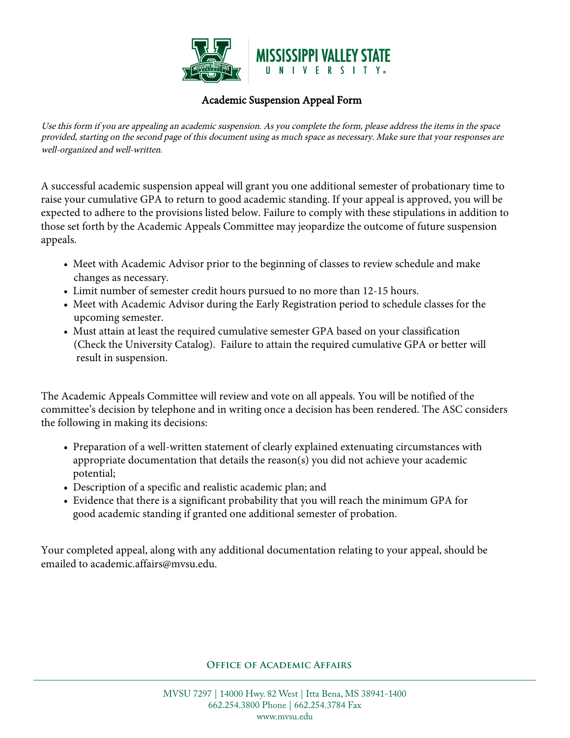

## Academic Suspension Appeal Form

Use this form if you are appealing an academic suspension. As you complete the form, please address the items in the space provided, starting on the second page of this document using as much space as necessary. Make sure that your responses are well-organized and well-written.

A successful academic suspension appeal will grant you one additional semester of probationary time to raise your cumulative GPA to return to good academic standing. If your appeal is approved, you will be expected to adhere to the provisions listed below. Failure to comply with these stipulations in addition to those set forth by the Academic Appeals Committee may jeopardize the outcome of future suspension appeals.

- Meet with Academic Advisor prior to the beginning of classes to review schedule and make changes as necessary.
- Limit number of semester credit hours pursued to no more than 12‐15 hours.
- Meet with Academic Advisor during the Early Registration period to schedule classes for the upcoming semester.
- Must attain at least the required cumulative semester GPA based on your classification (Check the University Catalog). Failure to attain the required cumulative GPA or better will result in suspension.

The Academic Appeals Committee will review and vote on all appeals. You will be notified of the committee's decision by telephone and in writing once a decision has been rendered. The ASC considers the following in making its decisions:

- Preparation of a well-written statement of clearly explained extenuating circumstances with appropriate documentation that details the reason(s) you did not achieve your academic potential;
- Description of a specific and realistic academic plan; and
- Evidence that there is a significant probability that you will reach the minimum GPA for good academic standing if granted one additional semester of probation.

Your completed appeal, along with any additional documentation relating to your appeal, should be emailed to academic.affairs@mvsu.edu.

## **Office of Academic Affairs**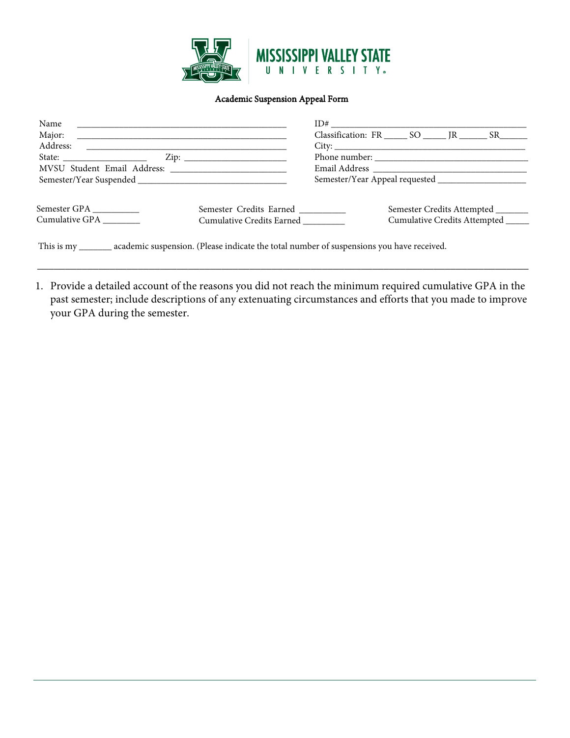

## Academic Suspension Appeal Form

| Name                                                                                                         |                                  |                                                                       |                                    |  |  |
|--------------------------------------------------------------------------------------------------------------|----------------------------------|-----------------------------------------------------------------------|------------------------------------|--|--|
| Major:                                                                                                       |                                  | $Classification: FR \_\_\_\$ {SO \_\_\_\_\} JR $\_\_\_\$ SR $\_\_\_\$ |                                    |  |  |
| Address:                                                                                                     |                                  | City:                                                                 |                                    |  |  |
|                                                                                                              |                                  |                                                                       |                                    |  |  |
|                                                                                                              |                                  |                                                                       |                                    |  |  |
|                                                                                                              |                                  |                                                                       |                                    |  |  |
|                                                                                                              |                                  |                                                                       |                                    |  |  |
| Semester GPA ___________                                                                                     | Semester Credits Earned          |                                                                       | Semester Credits Attempted _______ |  |  |
| Cumulative GPA                                                                                               | <b>Cumulative Credits Earned</b> |                                                                       | Cumulative Credits Attempted       |  |  |
|                                                                                                              |                                  |                                                                       |                                    |  |  |
| This is my ________ academic suspension. (Please indicate the total number of suspensions you have received. |                                  |                                                                       |                                    |  |  |

1. Provide a detailed account of the reasons you did not reach the minimum required cumulative GPA in the past semester; include descriptions of any extenuating circumstances and efforts that you made to improve your GPA during the semester.

**\_\_\_\_\_\_\_\_\_\_\_\_\_\_\_\_\_\_\_\_\_\_\_\_\_\_\_\_\_\_\_\_\_\_\_\_\_\_\_\_\_\_\_\_\_\_\_\_\_\_\_\_\_\_\_\_\_\_\_\_\_\_\_\_\_\_\_\_\_\_\_\_\_\_\_\_\_\_\_\_\_\_\_\_\_\_\_\_**